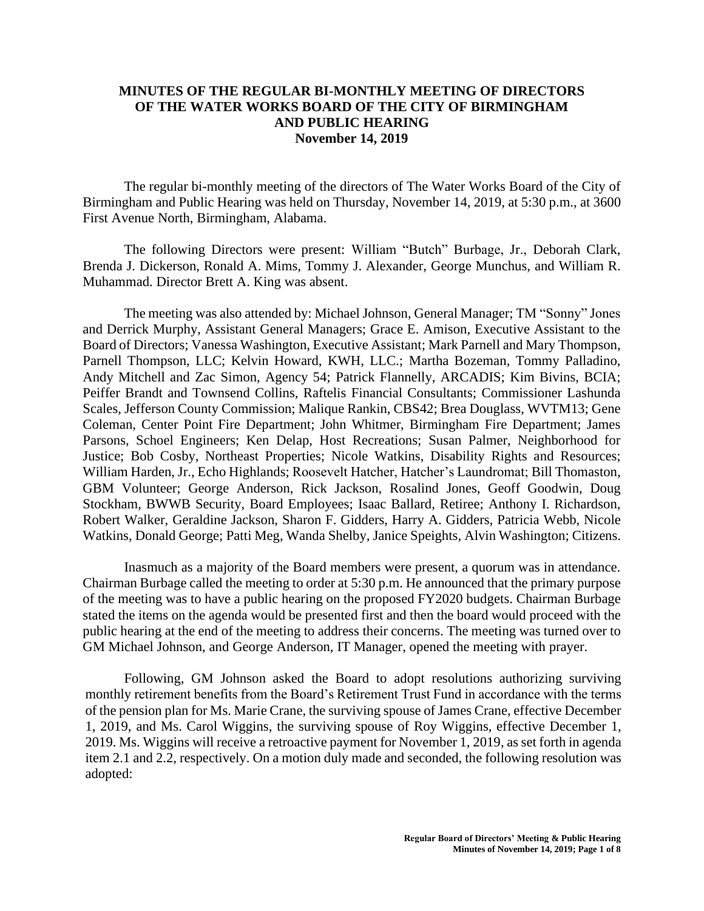## **MINUTES OF THE REGULAR BI-MONTHLY MEETING OF DIRECTORS OF THE WATER WORKS BOARD OF THE CITY OF BIRMINGHAM AND PUBLIC HEARING November 14, 2019**

The regular bi-monthly meeting of the directors of The Water Works Board of the City of Birmingham and Public Hearing was held on Thursday, November 14, 2019, at 5:30 p.m., at 3600 First Avenue North, Birmingham, Alabama.

The following Directors were present: William "Butch" Burbage, Jr., Deborah Clark, Brenda J. Dickerson, Ronald A. Mims, Tommy J. Alexander, George Munchus, and William R. Muhammad. Director Brett A. King was absent.

The meeting was also attended by: Michael Johnson, General Manager; TM "Sonny" Jones and Derrick Murphy, Assistant General Managers; Grace E. Amison, Executive Assistant to the Board of Directors; Vanessa Washington, Executive Assistant; Mark Parnell and Mary Thompson, Parnell Thompson, LLC; Kelvin Howard, KWH, LLC.; Martha Bozeman, Tommy Palladino, Andy Mitchell and Zac Simon, Agency 54; Patrick Flannelly, ARCADIS; Kim Bivins, BCIA; Peiffer Brandt and Townsend Collins, Raftelis Financial Consultants; Commissioner Lashunda Scales, Jefferson County Commission; Malique Rankin, CBS42; Brea Douglass, WVTM13; Gene Coleman, Center Point Fire Department; John Whitmer, Birmingham Fire Department; James Parsons, Schoel Engineers; Ken Delap, Host Recreations; Susan Palmer, Neighborhood for Justice; Bob Cosby, Northeast Properties; Nicole Watkins, Disability Rights and Resources; William Harden, Jr., Echo Highlands; Roosevelt Hatcher, Hatcher's Laundromat; Bill Thomaston, GBM Volunteer; George Anderson, Rick Jackson, Rosalind Jones, Geoff Goodwin, Doug Stockham, BWWB Security, Board Employees; Isaac Ballard, Retiree; Anthony I. Richardson, Robert Walker, Geraldine Jackson, Sharon F. Gidders, Harry A. Gidders, Patricia Webb, Nicole Watkins, Donald George; Patti Meg, Wanda Shelby, Janice Speights, Alvin Washington; Citizens.

Inasmuch as a majority of the Board members were present, a quorum was in attendance. Chairman Burbage called the meeting to order at 5:30 p.m. He announced that the primary purpose of the meeting was to have a public hearing on the proposed FY2020 budgets. Chairman Burbage stated the items on the agenda would be presented first and then the board would proceed with the public hearing at the end of the meeting to address their concerns. The meeting was turned over to GM Michael Johnson, and George Anderson, IT Manager, opened the meeting with prayer.

Following, GM Johnson asked the Board to adopt resolutions authorizing surviving monthly retirement benefits from the Board's Retirement Trust Fund in accordance with the terms of the pension plan for Ms. Marie Crane, the surviving spouse of James Crane, effective December 1, 2019, and Ms. Carol Wiggins, the surviving spouse of Roy Wiggins, effective December 1, 2019. Ms. Wiggins will receive a retroactive payment for November 1, 2019, as set forth in agenda item 2.1 and 2.2, respectively. On a motion duly made and seconded, the following resolution was adopted: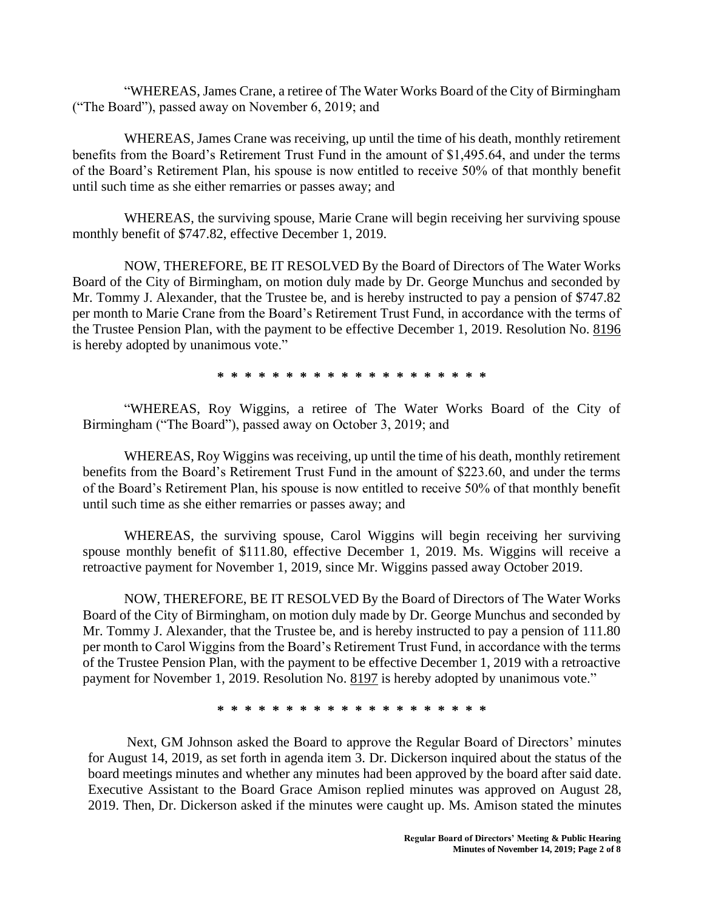"WHEREAS, James Crane, a retiree of The Water Works Board of the City of Birmingham ("The Board"), passed away on November 6, 2019; and

WHEREAS, James Crane was receiving, up until the time of his death, monthly retirement benefits from the Board's Retirement Trust Fund in the amount of \$1,495.64, and under the terms of the Board's Retirement Plan, his spouse is now entitled to receive 50% of that monthly benefit until such time as she either remarries or passes away; and

WHEREAS, the surviving spouse, Marie Crane will begin receiving her surviving spouse monthly benefit of \$747.82, effective December 1, 2019.

NOW, THEREFORE, BE IT RESOLVED By the Board of Directors of The Water Works Board of the City of Birmingham, on motion duly made by Dr. George Munchus and seconded by Mr. Tommy J. Alexander, that the Trustee be, and is hereby instructed to pay a pension of \$747.82 per month to Marie Crane from the Board's Retirement Trust Fund, in accordance with the terms of the Trustee Pension Plan, with the payment to be effective December 1, 2019. Resolution No. 8196 is hereby adopted by unanimous vote."

**\* \* \* \* \* \* \* \* \* \* \* \* \* \* \* \* \* \* \* \***

"WHEREAS, Roy Wiggins, a retiree of The Water Works Board of the City of Birmingham ("The Board"), passed away on October 3, 2019; and

WHEREAS, Roy Wiggins was receiving, up until the time of his death, monthly retirement benefits from the Board's Retirement Trust Fund in the amount of \$223.60, and under the terms of the Board's Retirement Plan, his spouse is now entitled to receive 50% of that monthly benefit until such time as she either remarries or passes away; and

WHEREAS, the surviving spouse, Carol Wiggins will begin receiving her surviving spouse monthly benefit of \$111.80, effective December 1, 2019. Ms. Wiggins will receive a retroactive payment for November 1, 2019, since Mr. Wiggins passed away October 2019.

NOW, THEREFORE, BE IT RESOLVED By the Board of Directors of The Water Works Board of the City of Birmingham, on motion duly made by Dr. George Munchus and seconded by Mr. Tommy J. Alexander, that the Trustee be, and is hereby instructed to pay a pension of 111.80 per month to Carol Wiggins from the Board's Retirement Trust Fund, in accordance with the terms of the Trustee Pension Plan, with the payment to be effective December 1, 2019 with a retroactive payment for November 1, 2019. Resolution No. 8197 is hereby adopted by unanimous vote."

**\* \* \* \* \* \* \* \* \* \* \* \* \* \* \* \* \* \* \* \***

Next, GM Johnson asked the Board to approve the Regular Board of Directors' minutes for August 14, 2019, as set forth in agenda item 3. Dr. Dickerson inquired about the status of the board meetings minutes and whether any minutes had been approved by the board after said date. Executive Assistant to the Board Grace Amison replied minutes was approved on August 28, 2019. Then, Dr. Dickerson asked if the minutes were caught up. Ms. Amison stated the minutes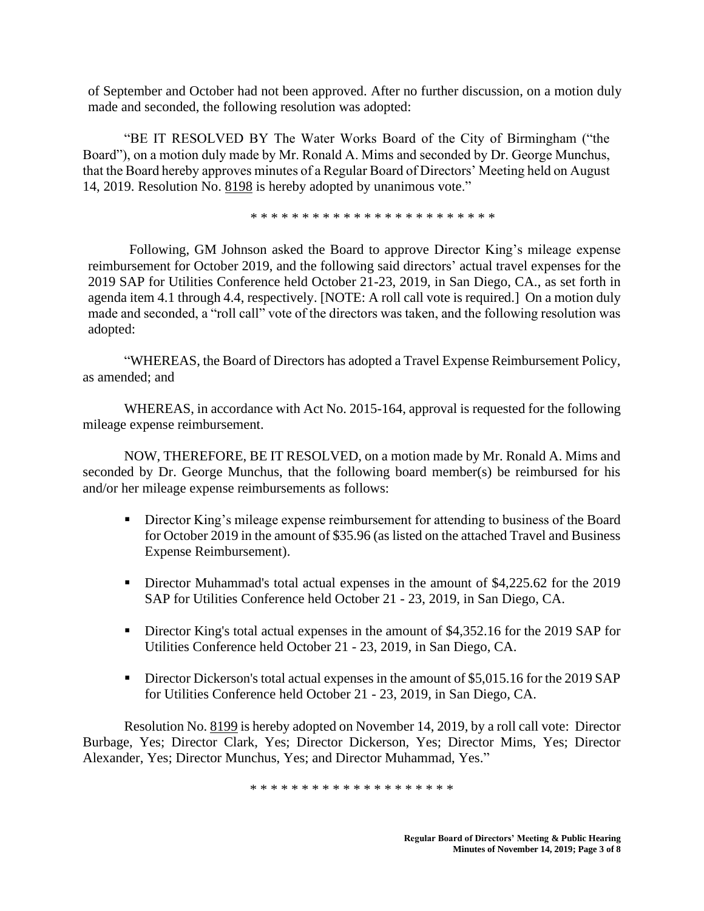of September and October had not been approved. After no further discussion, on a motion duly made and seconded, the following resolution was adopted:

"BE IT RESOLVED BY The Water Works Board of the City of Birmingham ("the Board"), on a motion duly made by Mr. Ronald A. Mims and seconded by Dr. George Munchus, that the Board hereby approves minutes of a Regular Board of Directors' Meeting held on August 14, 2019. Resolution No. 8198 is hereby adopted by unanimous vote."

\* \* \* \* \* \* \* \* \* \* \* \* \* \* \* \* \* \* \* \* \* \* \* \*

Following, GM Johnson asked the Board to approve Director King's mileage expense reimbursement for October 2019, and the following said directors' actual travel expenses for the 2019 SAP for Utilities Conference held October 21-23, 2019, in San Diego, CA., as set forth in agenda item 4.1 through 4.4, respectively. [NOTE: A roll call vote is required.] On a motion duly made and seconded, a "roll call" vote of the directors was taken, and the following resolution was adopted:

"WHEREAS, the Board of Directors has adopted a Travel Expense Reimbursement Policy, as amended; and

WHEREAS, in accordance with Act No. 2015-164, approval is requested for the following mileage expense reimbursement.

NOW, THEREFORE, BE IT RESOLVED, on a motion made by Mr. Ronald A. Mims and seconded by Dr. George Munchus, that the following board member(s) be reimbursed for his and/or her mileage expense reimbursements as follows:

- **EXECT** Director King's mileage expense reimbursement for attending to business of the Board for October 2019 in the amount of \$35.96 (as listed on the attached Travel and Business Expense Reimbursement).
- Director Muhammad's total actual expenses in the amount of \$4,225.62 for the 2019 SAP for Utilities Conference held October 21 - 23, 2019, in San Diego, CA.
- **EXECT** Director King's total actual expenses in the amount of \$4,352.16 for the 2019 SAP for Utilities Conference held October 21 - 23, 2019, in San Diego, CA.
- **•** Director Dickerson's total actual expenses in the amount of \$5,015.16 for the 2019 SAP for Utilities Conference held October 21 - 23, 2019, in San Diego, CA.

Resolution No. 8199 is hereby adopted on November 14, 2019, by a roll call vote: Director Burbage, Yes; Director Clark, Yes; Director Dickerson, Yes; Director Mims, Yes; Director Alexander, Yes; Director Munchus, Yes; and Director Muhammad, Yes."

\* \* \* \* \* \* \* \* \* \* \* \* \* \* \* \* \* \* \*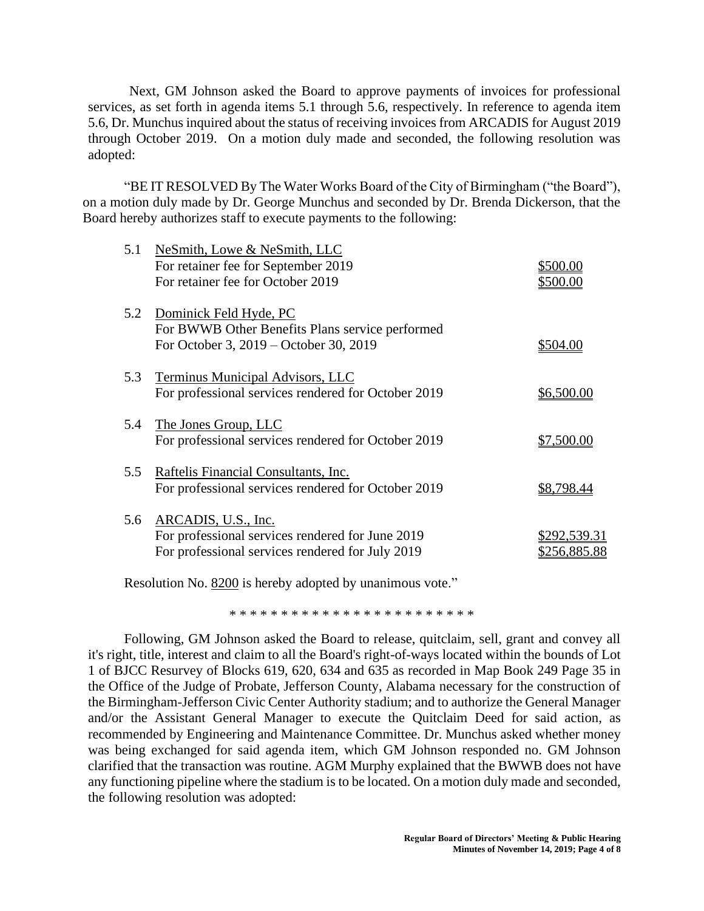Next, GM Johnson asked the Board to approve payments of invoices for professional services, as set forth in agenda items 5.1 through 5.6, respectively. In reference to agenda item 5.6, Dr. Munchus inquired about the status of receiving invoices from ARCADIS for August 2019 through October 2019. On a motion duly made and seconded, the following resolution was adopted:

"BE IT RESOLVED By The Water Works Board of the City of Birmingham ("the Board"), on a motion duly made by Dr. George Munchus and seconded by Dr. Brenda Dickerson, that the Board hereby authorizes staff to execute payments to the following:

| 5.1 | NeSmith, Lowe & NeSmith, LLC<br>For retainer fee for September 2019                                                         | \$500.00                     |
|-----|-----------------------------------------------------------------------------------------------------------------------------|------------------------------|
|     | For retainer fee for October 2019                                                                                           | \$500.00                     |
| 5.2 | Dominick Feld Hyde, PC<br>For BWWB Other Benefits Plans service performed<br>For October 3, 2019 – October 30, 2019         | \$504.00                     |
| 5.3 | Terminus Municipal Advisors, LLC<br>For professional services rendered for October 2019                                     | \$6,500.00                   |
| 5.4 | The Jones Group, LLC<br>For professional services rendered for October 2019                                                 | \$7,500.00                   |
| 5.5 | Raftelis Financial Consultants, Inc.<br>For professional services rendered for October 2019                                 | \$8,798.44                   |
| 5.6 | ARCADIS, U.S., Inc.<br>For professional services rendered for June 2019<br>For professional services rendered for July 2019 | \$292,539.31<br>\$256,885.88 |

Resolution No. 8200 is hereby adopted by unanimous vote."

\* \* \* \* \* \* \* \* \* \* \* \* \* \* \* \* \* \* \* \* \* \* \* \*

Following, GM Johnson asked the Board to release, quitclaim, sell, grant and convey all it's right, title, interest and claim to all the Board's right-of-ways located within the bounds of Lot 1 of BJCC Resurvey of Blocks 619, 620, 634 and 635 as recorded in Map Book 249 Page 35 in the Office of the Judge of Probate, Jefferson County, Alabama necessary for the construction of the Birmingham-Jefferson Civic Center Authority stadium; and to authorize the General Manager and/or the Assistant General Manager to execute the Quitclaim Deed for said action, as recommended by Engineering and Maintenance Committee. Dr. Munchus asked whether money was being exchanged for said agenda item, which GM Johnson responded no. GM Johnson clarified that the transaction was routine. AGM Murphy explained that the BWWB does not have any functioning pipeline where the stadium is to be located. On a motion duly made and seconded, the following resolution was adopted: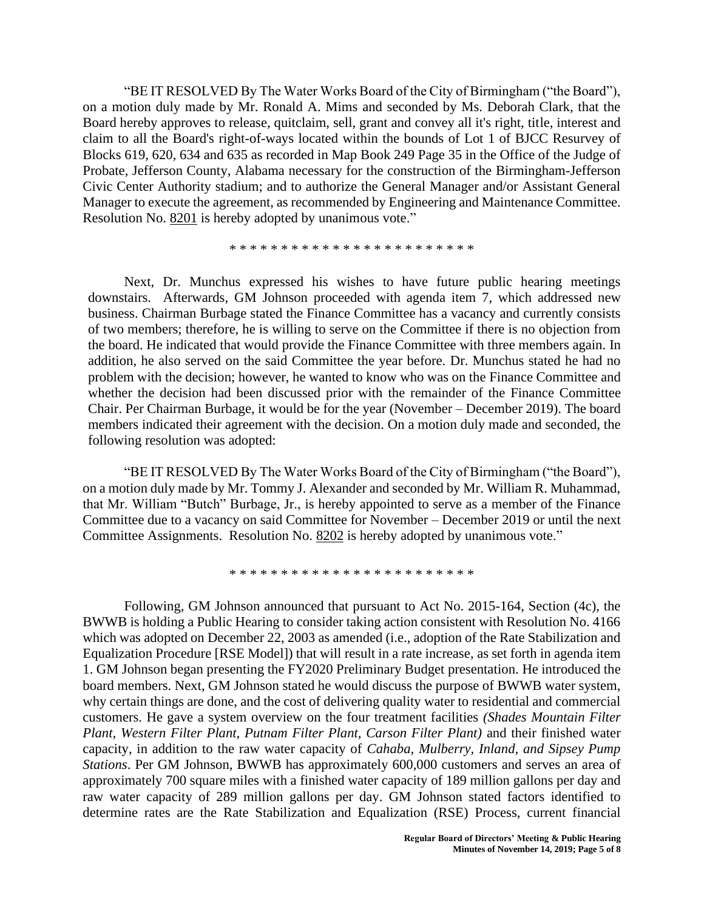"BE IT RESOLVED By The Water Works Board of the City of Birmingham ("the Board"), on a motion duly made by Mr. Ronald A. Mims and seconded by Ms. Deborah Clark, that the Board hereby approves to release, quitclaim, sell, grant and convey all it's right, title, interest and claim to all the Board's right-of-ways located within the bounds of Lot 1 of BJCC Resurvey of Blocks 619, 620, 634 and 635 as recorded in Map Book 249 Page 35 in the Office of the Judge of Probate, Jefferson County, Alabama necessary for the construction of the Birmingham-Jefferson Civic Center Authority stadium; and to authorize the General Manager and/or Assistant General Manager to execute the agreement, as recommended by Engineering and Maintenance Committee. Resolution No. 8201 is hereby adopted by unanimous vote."

\* \* \* \* \* \* \* \* \* \* \* \* \* \* \* \* \* \* \* \* \* \* \* \*

Next, Dr. Munchus expressed his wishes to have future public hearing meetings downstairs. Afterwards, GM Johnson proceeded with agenda item 7, which addressed new business. Chairman Burbage stated the Finance Committee has a vacancy and currently consists of two members; therefore, he is willing to serve on the Committee if there is no objection from the board. He indicated that would provide the Finance Committee with three members again. In addition, he also served on the said Committee the year before. Dr. Munchus stated he had no problem with the decision; however, he wanted to know who was on the Finance Committee and whether the decision had been discussed prior with the remainder of the Finance Committee Chair. Per Chairman Burbage, it would be for the year (November – December 2019). The board members indicated their agreement with the decision. On a motion duly made and seconded, the following resolution was adopted:

"BE IT RESOLVED By The Water Works Board of the City of Birmingham ("the Board"), on a motion duly made by Mr. Tommy J. Alexander and seconded by Mr. William R. Muhammad, that Mr. William "Butch" Burbage, Jr., is hereby appointed to serve as a member of the Finance Committee due to a vacancy on said Committee for November – December 2019 or until the next Committee Assignments. Resolution No. 8202 is hereby adopted by unanimous vote."

\* \* \* \* \* \* \* \* \* \* \* \* \* \* \* \* \* \* \* \* \* \* \* \*

Following, GM Johnson announced that pursuant to Act No. 2015-164, Section (4c), the BWWB is holding a Public Hearing to consider taking action consistent with Resolution No. 4166 which was adopted on December 22, 2003 as amended (i.e., adoption of the Rate Stabilization and Equalization Procedure [RSE Model]) that will result in a rate increase, as set forth in agenda item 1. GM Johnson began presenting the FY2020 Preliminary Budget presentation. He introduced the board members. Next, GM Johnson stated he would discuss the purpose of BWWB water system, why certain things are done, and the cost of delivering quality water to residential and commercial customers. He gave a system overview on the four treatment facilities *(Shades Mountain Filter Plant, Western Filter Plant, Putnam Filter Plant, Carson Filter Plant)* and their finished water capacity, in addition to the raw water capacity of *Cahaba, Mulberry, Inland, and Sipsey Pump Stations*. Per GM Johnson, BWWB has approximately 600,000 customers and serves an area of approximately 700 square miles with a finished water capacity of 189 million gallons per day and raw water capacity of 289 million gallons per day. GM Johnson stated factors identified to determine rates are the Rate Stabilization and Equalization (RSE) Process, current financial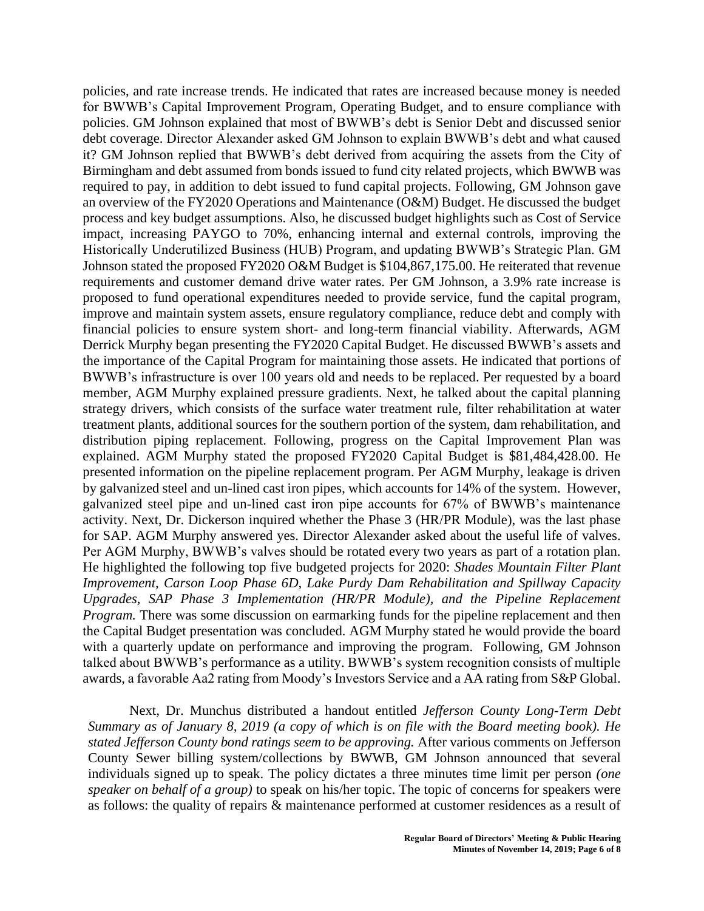policies, and rate increase trends. He indicated that rates are increased because money is needed for BWWB's Capital Improvement Program, Operating Budget, and to ensure compliance with policies. GM Johnson explained that most of BWWB's debt is Senior Debt and discussed senior debt coverage. Director Alexander asked GM Johnson to explain BWWB's debt and what caused it? GM Johnson replied that BWWB's debt derived from acquiring the assets from the City of Birmingham and debt assumed from bonds issued to fund city related projects, which BWWB was required to pay, in addition to debt issued to fund capital projects. Following, GM Johnson gave an overview of the FY2020 Operations and Maintenance (O&M) Budget. He discussed the budget process and key budget assumptions. Also, he discussed budget highlights such as Cost of Service impact, increasing PAYGO to 70%, enhancing internal and external controls, improving the Historically Underutilized Business (HUB) Program, and updating BWWB's Strategic Plan. GM Johnson stated the proposed FY2020 O&M Budget is \$104,867,175.00. He reiterated that revenue requirements and customer demand drive water rates. Per GM Johnson, a 3.9% rate increase is proposed to fund operational expenditures needed to provide service, fund the capital program, improve and maintain system assets, ensure regulatory compliance, reduce debt and comply with financial policies to ensure system short- and long-term financial viability. Afterwards, AGM Derrick Murphy began presenting the FY2020 Capital Budget. He discussed BWWB's assets and the importance of the Capital Program for maintaining those assets. He indicated that portions of BWWB's infrastructure is over 100 years old and needs to be replaced. Per requested by a board member, AGM Murphy explained pressure gradients. Next, he talked about the capital planning strategy drivers, which consists of the surface water treatment rule, filter rehabilitation at water treatment plants, additional sources for the southern portion of the system, dam rehabilitation, and distribution piping replacement. Following, progress on the Capital Improvement Plan was explained. AGM Murphy stated the proposed FY2020 Capital Budget is \$81,484,428.00. He presented information on the pipeline replacement program. Per AGM Murphy, leakage is driven by galvanized steel and un-lined cast iron pipes, which accounts for 14% of the system. However, galvanized steel pipe and un-lined cast iron pipe accounts for 67% of BWWB's maintenance activity. Next, Dr. Dickerson inquired whether the Phase 3 (HR/PR Module), was the last phase for SAP. AGM Murphy answered yes. Director Alexander asked about the useful life of valves. Per AGM Murphy, BWWB's valves should be rotated every two years as part of a rotation plan. He highlighted the following top five budgeted projects for 2020: *Shades Mountain Filter Plant Improvement, Carson Loop Phase 6D, Lake Purdy Dam Rehabilitation and Spillway Capacity Upgrades, SAP Phase 3 Implementation (HR/PR Module), and the Pipeline Replacement Program.* There was some discussion on earmarking funds for the pipeline replacement and then the Capital Budget presentation was concluded. AGM Murphy stated he would provide the board with a quarterly update on performance and improving the program. Following, GM Johnson talked about BWWB's performance as a utility. BWWB's system recognition consists of multiple awards, a favorable Aa2 rating from Moody's Investors Service and a AA rating from S&P Global.

Next, Dr. Munchus distributed a handout entitled *Jefferson County Long-Term Debt Summary as of January 8, 2019 (a copy of which is on file with the Board meeting book). He stated Jefferson County bond ratings seem to be approving.* After various comments on Jefferson County Sewer billing system/collections by BWWB, GM Johnson announced that several individuals signed up to speak. The policy dictates a three minutes time limit per person *(one speaker on behalf of a group)* to speak on his/her topic. The topic of concerns for speakers were as follows: the quality of repairs & maintenance performed at customer residences as a result of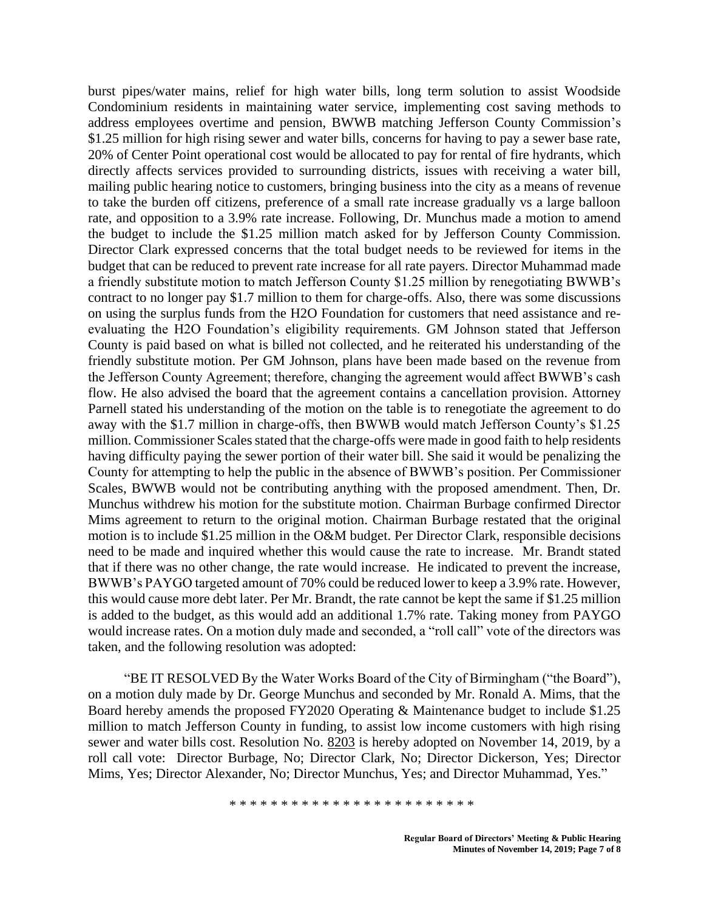burst pipes/water mains, relief for high water bills, long term solution to assist Woodside Condominium residents in maintaining water service, implementing cost saving methods to address employees overtime and pension, BWWB matching Jefferson County Commission's \$1.25 million for high rising sewer and water bills, concerns for having to pay a sewer base rate, 20% of Center Point operational cost would be allocated to pay for rental of fire hydrants, which directly affects services provided to surrounding districts, issues with receiving a water bill, mailing public hearing notice to customers, bringing business into the city as a means of revenue to take the burden off citizens, preference of a small rate increase gradually vs a large balloon rate, and opposition to a 3.9% rate increase. Following, Dr. Munchus made a motion to amend the budget to include the \$1.25 million match asked for by Jefferson County Commission. Director Clark expressed concerns that the total budget needs to be reviewed for items in the budget that can be reduced to prevent rate increase for all rate payers. Director Muhammad made a friendly substitute motion to match Jefferson County \$1.25 million by renegotiating BWWB's contract to no longer pay \$1.7 million to them for charge-offs. Also, there was some discussions on using the surplus funds from the H2O Foundation for customers that need assistance and reevaluating the H2O Foundation's eligibility requirements. GM Johnson stated that Jefferson County is paid based on what is billed not collected, and he reiterated his understanding of the friendly substitute motion. Per GM Johnson, plans have been made based on the revenue from the Jefferson County Agreement; therefore, changing the agreement would affect BWWB's cash flow. He also advised the board that the agreement contains a cancellation provision. Attorney Parnell stated his understanding of the motion on the table is to renegotiate the agreement to do away with the \$1.7 million in charge-offs, then BWWB would match Jefferson County's \$1.25 million. Commissioner Scales stated that the charge-offs were made in good faith to help residents having difficulty paying the sewer portion of their water bill. She said it would be penalizing the County for attempting to help the public in the absence of BWWB's position. Per Commissioner Scales, BWWB would not be contributing anything with the proposed amendment. Then, Dr. Munchus withdrew his motion for the substitute motion. Chairman Burbage confirmed Director Mims agreement to return to the original motion. Chairman Burbage restated that the original motion is to include \$1.25 million in the O&M budget. Per Director Clark, responsible decisions need to be made and inquired whether this would cause the rate to increase. Mr. Brandt stated that if there was no other change, the rate would increase. He indicated to prevent the increase, BWWB's PAYGO targeted amount of 70% could be reduced lower to keep a 3.9% rate. However, this would cause more debt later. Per Mr. Brandt, the rate cannot be kept the same if \$1.25 million is added to the budget, as this would add an additional 1.7% rate. Taking money from PAYGO would increase rates. On a motion duly made and seconded, a "roll call" vote of the directors was taken, and the following resolution was adopted:

"BE IT RESOLVED By the Water Works Board of the City of Birmingham ("the Board"), on a motion duly made by Dr. George Munchus and seconded by Mr. Ronald A. Mims, that the Board hereby amends the proposed FY2020 Operating & Maintenance budget to include \$1.25 million to match Jefferson County in funding, to assist low income customers with high rising sewer and water bills cost. Resolution No. 8203 is hereby adopted on November 14, 2019, by a roll call vote: Director Burbage, No; Director Clark, No; Director Dickerson, Yes; Director Mims, Yes; Director Alexander, No; Director Munchus, Yes; and Director Muhammad, Yes."

\* \* \* \* \* \* \* \* \* \* \* \* \* \* \* \* \* \* \* \* \* \* \* \*